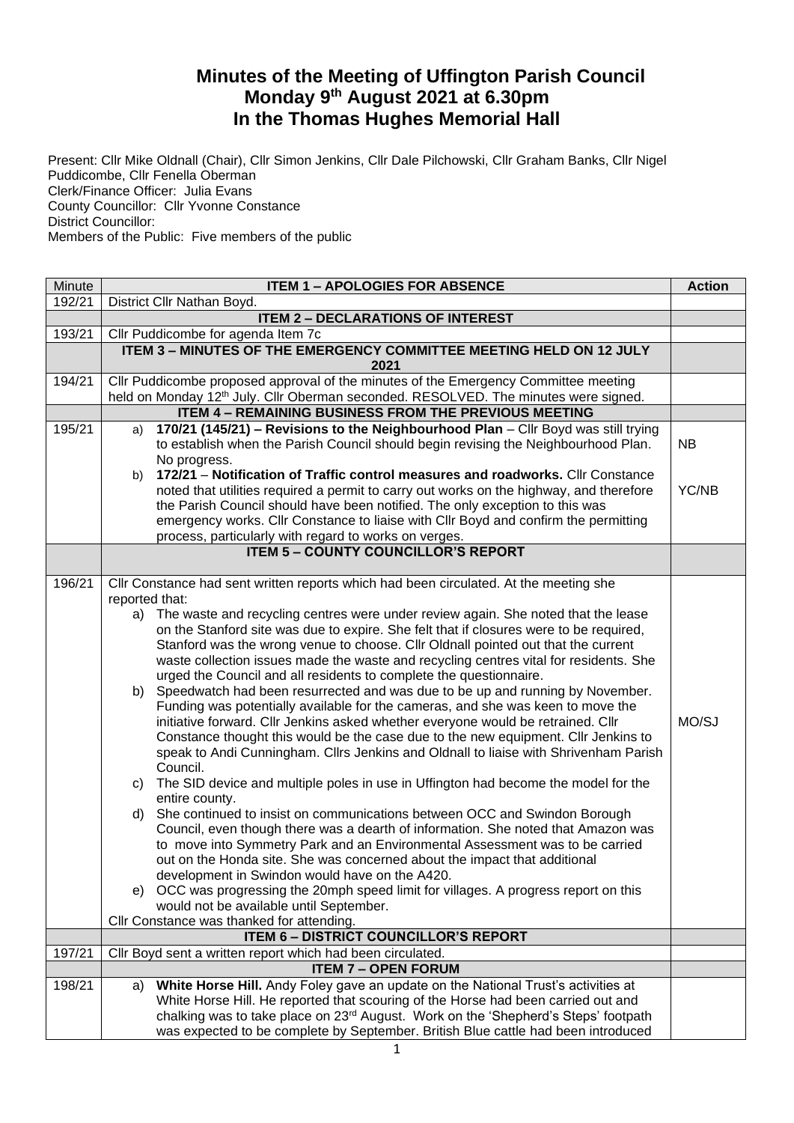## **Minutes of the Meeting of Uffington Parish Council Monday 9 th August 2021 at 6.30pm In the Thomas Hughes Memorial Hall**

Present: Cllr Mike Oldnall (Chair), Cllr Simon Jenkins, Cllr Dale Pilchowski, Cllr Graham Banks, Cllr Nigel Puddicombe, Cllr Fenella Oberman Clerk/Finance Officer: Julia Evans County Councillor: Cllr Yvonne Constance District Councillor: Members of the Public: Five members of the public

| Minute | <b>ITEM 1 - APOLOGIES FOR ABSENCE</b>                                                                                                                                                  |           |  |
|--------|----------------------------------------------------------------------------------------------------------------------------------------------------------------------------------------|-----------|--|
| 192/21 | District Cllr Nathan Boyd.                                                                                                                                                             |           |  |
|        | <b>ITEM 2 - DECLARATIONS OF INTEREST</b>                                                                                                                                               |           |  |
| 193/21 | Cllr Puddicombe for agenda Item 7c                                                                                                                                                     |           |  |
|        | ITEM 3 - MINUTES OF THE EMERGENCY COMMITTEE MEETING HELD ON 12 JULY<br>2021                                                                                                            |           |  |
| 194/21 | Cllr Puddicombe proposed approval of the minutes of the Emergency Committee meeting<br>held on Monday 12 <sup>th</sup> July. Cllr Oberman seconded. RESOLVED. The minutes were signed. |           |  |
|        | <b>ITEM 4 - REMAINING BUSINESS FROM THE PREVIOUS MEETING</b>                                                                                                                           |           |  |
| 195/21 | 170/21 (145/21) - Revisions to the Neighbourhood Plan - Cllr Boyd was still trying<br>a)                                                                                               |           |  |
|        | to establish when the Parish Council should begin revising the Neighbourhood Plan.<br>No progress.                                                                                     | <b>NB</b> |  |
|        | 172/21 - Notification of Traffic control measures and roadworks. Cllr Constance<br>b)                                                                                                  |           |  |
|        | noted that utilities required a permit to carry out works on the highway, and therefore                                                                                                | YC/NB     |  |
|        | the Parish Council should have been notified. The only exception to this was                                                                                                           |           |  |
|        | emergency works. Cllr Constance to liaise with Cllr Boyd and confirm the permitting                                                                                                    |           |  |
|        | process, particularly with regard to works on verges.                                                                                                                                  |           |  |
|        | <b>ITEM 5 - COUNTY COUNCILLOR'S REPORT</b>                                                                                                                                             |           |  |
|        |                                                                                                                                                                                        |           |  |
| 196/21 | Cllr Constance had sent written reports which had been circulated. At the meeting she                                                                                                  |           |  |
|        | reported that:                                                                                                                                                                         |           |  |
|        | The waste and recycling centres were under review again. She noted that the lease<br>a)                                                                                                |           |  |
|        | on the Stanford site was due to expire. She felt that if closures were to be required,                                                                                                 |           |  |
|        | Stanford was the wrong venue to choose. Cllr Oldnall pointed out that the current                                                                                                      |           |  |
|        | waste collection issues made the waste and recycling centres vital for residents. She                                                                                                  |           |  |
|        | urged the Council and all residents to complete the questionnaire.                                                                                                                     |           |  |
|        | b) Speedwatch had been resurrected and was due to be up and running by November.                                                                                                       |           |  |
|        | Funding was potentially available for the cameras, and she was keen to move the                                                                                                        |           |  |
|        | initiative forward. Cllr Jenkins asked whether everyone would be retrained. Cllr                                                                                                       | MO/SJ     |  |
|        | Constance thought this would be the case due to the new equipment. Cllr Jenkins to                                                                                                     |           |  |
|        | speak to Andi Cunningham. Cllrs Jenkins and Oldnall to liaise with Shrivenham Parish                                                                                                   |           |  |
|        | Council.                                                                                                                                                                               |           |  |
|        | The SID device and multiple poles in use in Uffington had become the model for the<br>C)<br>entire county.                                                                             |           |  |
|        | She continued to insist on communications between OCC and Swindon Borough<br>d)                                                                                                        |           |  |
|        | Council, even though there was a dearth of information. She noted that Amazon was                                                                                                      |           |  |
|        | to move into Symmetry Park and an Environmental Assessment was to be carried                                                                                                           |           |  |
|        | out on the Honda site. She was concerned about the impact that additional                                                                                                              |           |  |
|        | development in Swindon would have on the A420.                                                                                                                                         |           |  |
|        | e) OCC was progressing the 20mph speed limit for villages. A progress report on this                                                                                                   |           |  |
|        | would not be available until September.                                                                                                                                                |           |  |
|        | Cllr Constance was thanked for attending.                                                                                                                                              |           |  |
|        | <b>ITEM 6 - DISTRICT COUNCILLOR'S REPORT</b>                                                                                                                                           |           |  |
| 197/21 | Cllr Boyd sent a written report which had been circulated.                                                                                                                             |           |  |
|        | <b>ITEM 7 - OPEN FORUM</b>                                                                                                                                                             |           |  |
| 198/21 | White Horse Hill. Andy Foley gave an update on the National Trust's activities at<br>a)                                                                                                |           |  |
|        | White Horse Hill. He reported that scouring of the Horse had been carried out and                                                                                                      |           |  |
|        | chalking was to take place on 23 <sup>rd</sup> August. Work on the 'Shepherd's Steps' footpath                                                                                         |           |  |
|        | was expected to be complete by September. British Blue cattle had been introduced                                                                                                      |           |  |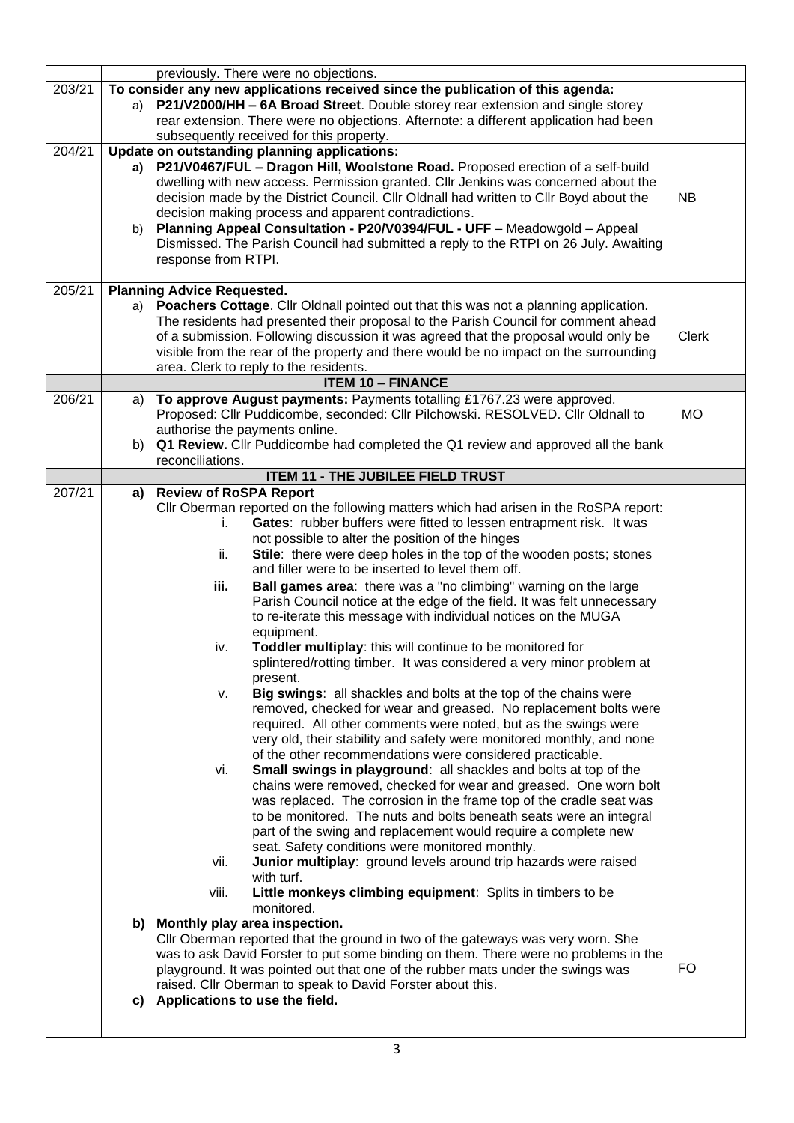|        |    | previously. There were no objections.                                                                                                    |              |
|--------|----|------------------------------------------------------------------------------------------------------------------------------------------|--------------|
| 203/21 |    | To consider any new applications received since the publication of this agenda:                                                          |              |
|        | a) | P21/V2000/HH - 6A Broad Street. Double storey rear extension and single storey                                                           |              |
|        |    | rear extension. There were no objections. Afternote: a different application had been                                                    |              |
| 204/21 |    | subsequently received for this property.<br>Update on outstanding planning applications:                                                 |              |
|        | a) | P21/V0467/FUL - Dragon Hill, Woolstone Road. Proposed erection of a self-build                                                           |              |
|        |    | dwelling with new access. Permission granted. Cllr Jenkins was concerned about the                                                       |              |
|        |    | decision made by the District Council. Cllr Oldnall had written to Cllr Boyd about the                                                   | NB           |
|        |    | decision making process and apparent contradictions.                                                                                     |              |
|        | b) | Planning Appeal Consultation - P20/V0394/FUL - UFF - Meadowgold - Appeal                                                                 |              |
|        |    | Dismissed. The Parish Council had submitted a reply to the RTPI on 26 July. Awaiting                                                     |              |
|        |    | response from RTPI.                                                                                                                      |              |
| 205/21 |    |                                                                                                                                          |              |
|        | a) | <b>Planning Advice Requested.</b><br>Poachers Cottage. Cllr Oldnall pointed out that this was not a planning application.                |              |
|        |    | The residents had presented their proposal to the Parish Council for comment ahead                                                       |              |
|        |    | of a submission. Following discussion it was agreed that the proposal would only be                                                      | <b>Clerk</b> |
|        |    | visible from the rear of the property and there would be no impact on the surrounding                                                    |              |
|        |    | area. Clerk to reply to the residents.                                                                                                   |              |
|        |    | <b>ITEM 10 - FINANCE</b>                                                                                                                 |              |
| 206/21 | a) | To approve August payments: Payments totalling £1767.23 were approved.                                                                   |              |
|        |    | Proposed: Cllr Puddicombe, seconded: Cllr Pilchowski. RESOLVED. Cllr Oldnall to                                                          | <b>MO</b>    |
|        | b) | authorise the payments online.<br>Q1 Review. Cllr Puddicombe had completed the Q1 review and approved all the bank                       |              |
|        |    | reconciliations.                                                                                                                         |              |
|        |    | <b>ITEM 11 - THE JUBILEE FIELD TRUST</b>                                                                                                 |              |
| 207/21 | a) | <b>Review of RoSPA Report</b>                                                                                                            |              |
|        |    | Cllr Oberman reported on the following matters which had arisen in the RoSPA report:                                                     |              |
|        |    | Gates: rubber buffers were fitted to lessen entrapment risk. It was<br>i.                                                                |              |
|        |    | not possible to alter the position of the hinges                                                                                         |              |
|        |    | Stile: there were deep holes in the top of the wooden posts; stones<br>ii.                                                               |              |
|        |    | and filler were to be inserted to level them off.<br>Ball games area: there was a "no climbing" warning on the large                     |              |
|        |    | iii.<br>Parish Council notice at the edge of the field. It was felt unnecessary                                                          |              |
|        |    | to re-iterate this message with individual notices on the MUGA                                                                           |              |
|        |    | equipment.                                                                                                                               |              |
|        |    | Toddler multiplay: this will continue to be monitored for<br>iv.                                                                         |              |
|        |    | splintered/rotting timber. It was considered a very minor problem at                                                                     |              |
|        |    | present.                                                                                                                                 |              |
|        |    | Big swings: all shackles and bolts at the top of the chains were<br>ν.                                                                   |              |
|        |    | removed, checked for wear and greased. No replacement bolts were                                                                         |              |
|        |    | required. All other comments were noted, but as the swings were<br>very old, their stability and safety were monitored monthly, and none |              |
|        |    | of the other recommendations were considered practicable.                                                                                |              |
|        |    | Small swings in playground: all shackles and bolts at top of the<br>vi.                                                                  |              |
|        |    | chains were removed, checked for wear and greased. One worn bolt                                                                         |              |
|        |    | was replaced. The corrosion in the frame top of the cradle seat was                                                                      |              |
|        |    | to be monitored. The nuts and bolts beneath seats were an integral                                                                       |              |
|        |    | part of the swing and replacement would require a complete new                                                                           |              |
|        |    | seat. Safety conditions were monitored monthly.                                                                                          |              |
|        |    | Junior multiplay: ground levels around trip hazards were raised<br>vii.<br>with turf.                                                    |              |
|        |    | Little monkeys climbing equipment: Splits in timbers to be<br>viii.                                                                      |              |
|        |    | monitored.                                                                                                                               |              |
|        |    | b) Monthly play area inspection.                                                                                                         |              |
|        |    | CIIr Oberman reported that the ground in two of the gateways was very worn. She                                                          |              |
|        |    | was to ask David Forster to put some binding on them. There were no problems in the                                                      |              |
|        |    | playground. It was pointed out that one of the rubber mats under the swings was                                                          | FO.          |
|        |    | raised. Cllr Oberman to speak to David Forster about this.                                                                               |              |
|        |    | c) Applications to use the field.                                                                                                        |              |
|        |    |                                                                                                                                          |              |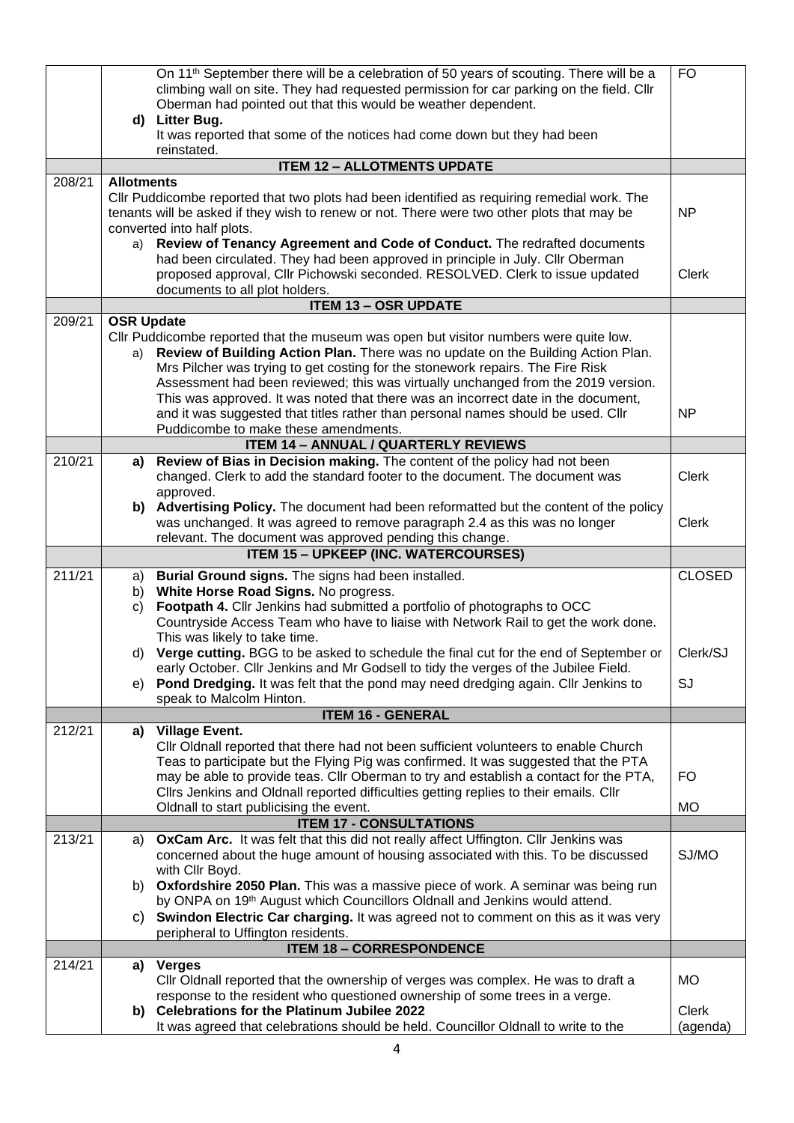|        | d)                      | On 11 <sup>th</sup> September there will be a celebration of 50 years of scouting. There will be a<br>climbing wall on site. They had requested permission for car parking on the field. Cllr<br>Oberman had pointed out that this would be weather dependent.<br>Litter Bug.                                                                                                                                                         | <b>FO</b>     |
|--------|-------------------------|---------------------------------------------------------------------------------------------------------------------------------------------------------------------------------------------------------------------------------------------------------------------------------------------------------------------------------------------------------------------------------------------------------------------------------------|---------------|
|        |                         | It was reported that some of the notices had come down but they had been<br>reinstated.                                                                                                                                                                                                                                                                                                                                               |               |
|        |                         | <b>ITEM 12 - ALLOTMENTS UPDATE</b>                                                                                                                                                                                                                                                                                                                                                                                                    |               |
| 208/21 | <b>Allotments</b>       |                                                                                                                                                                                                                                                                                                                                                                                                                                       |               |
|        |                         | CIIr Puddicombe reported that two plots had been identified as requiring remedial work. The<br>tenants will be asked if they wish to renew or not. There were two other plots that may be<br>converted into half plots.                                                                                                                                                                                                               | <b>NP</b>     |
|        | a)                      | Review of Tenancy Agreement and Code of Conduct. The redrafted documents<br>had been circulated. They had been approved in principle in July. Cllr Oberman<br>proposed approval, Cllr Pichowski seconded. RESOLVED. Clerk to issue updated<br>documents to all plot holders.                                                                                                                                                          | Clerk         |
|        |                         | <b>ITEM 13 - OSR UPDATE</b>                                                                                                                                                                                                                                                                                                                                                                                                           |               |
| 209/21 | <b>OSR Update</b><br>a) | CIIr Puddicombe reported that the museum was open but visitor numbers were quite low.<br>Review of Building Action Plan. There was no update on the Building Action Plan.<br>Mrs Pilcher was trying to get costing for the stonework repairs. The Fire Risk<br>Assessment had been reviewed; this was virtually unchanged from the 2019 version.<br>This was approved. It was noted that there was an incorrect date in the document, |               |
|        |                         | and it was suggested that titles rather than personal names should be used. Cllr<br>Puddicombe to make these amendments.                                                                                                                                                                                                                                                                                                              | <b>NP</b>     |
|        |                         | <b>ITEM 14 - ANNUAL / QUARTERLY REVIEWS</b>                                                                                                                                                                                                                                                                                                                                                                                           |               |
| 210/21 | a)                      | Review of Bias in Decision making. The content of the policy had not been                                                                                                                                                                                                                                                                                                                                                             |               |
|        |                         | changed. Clerk to add the standard footer to the document. The document was<br>approved.                                                                                                                                                                                                                                                                                                                                              | <b>Clerk</b>  |
|        |                         | b) Advertising Policy. The document had been reformatted but the content of the policy<br>was unchanged. It was agreed to remove paragraph 2.4 as this was no longer                                                                                                                                                                                                                                                                  | <b>Clerk</b>  |
|        |                         | relevant. The document was approved pending this change.<br><b>ITEM 15 - UPKEEP (INC. WATERCOURSES)</b>                                                                                                                                                                                                                                                                                                                               |               |
|        |                         |                                                                                                                                                                                                                                                                                                                                                                                                                                       |               |
| 211/21 | a)                      | Burial Ground signs. The signs had been installed.                                                                                                                                                                                                                                                                                                                                                                                    | <b>CLOSED</b> |
|        | b)<br>C)                | White Horse Road Signs. No progress.<br>Footpath 4. Cllr Jenkins had submitted a portfolio of photographs to OCC                                                                                                                                                                                                                                                                                                                      |               |
|        |                         | Countryside Access Team who have to liaise with Network Rail to get the work done.                                                                                                                                                                                                                                                                                                                                                    |               |
|        |                         | This was likely to take time.                                                                                                                                                                                                                                                                                                                                                                                                         |               |
|        | d)                      | Verge cutting. BGG to be asked to schedule the final cut for the end of September or                                                                                                                                                                                                                                                                                                                                                  | Clerk/SJ      |
|        |                         | early October. Cllr Jenkins and Mr Godsell to tidy the verges of the Jubilee Field.                                                                                                                                                                                                                                                                                                                                                   |               |
|        |                         | e) Pond Dredging. It was felt that the pond may need dredging again. Cllr Jenkins to                                                                                                                                                                                                                                                                                                                                                  | SJ            |
|        |                         | speak to Malcolm Hinton.<br><b>ITEM 16 - GENERAL</b>                                                                                                                                                                                                                                                                                                                                                                                  |               |
| 212/21 | a)                      | <b>Village Event.</b>                                                                                                                                                                                                                                                                                                                                                                                                                 |               |
|        |                         | Cllr Oldnall reported that there had not been sufficient volunteers to enable Church                                                                                                                                                                                                                                                                                                                                                  |               |
|        |                         | Teas to participate but the Flying Pig was confirmed. It was suggested that the PTA<br>may be able to provide teas. Cllr Oberman to try and establish a contact for the PTA,                                                                                                                                                                                                                                                          | FO.           |
|        |                         | Cllrs Jenkins and Oldnall reported difficulties getting replies to their emails. Cllr                                                                                                                                                                                                                                                                                                                                                 |               |
|        |                         | Oldnall to start publicising the event.                                                                                                                                                                                                                                                                                                                                                                                               | <b>MO</b>     |
|        |                         | <b>ITEM 17 - CONSULTATIONS</b>                                                                                                                                                                                                                                                                                                                                                                                                        |               |
| 213/21 | a)                      | OxCam Arc. It was felt that this did not really affect Uffington. Cllr Jenkins was<br>concerned about the huge amount of housing associated with this. To be discussed                                                                                                                                                                                                                                                                | SJ/MO         |
|        |                         | with Cllr Boyd.<br>b) Oxfordshire 2050 Plan. This was a massive piece of work. A seminar was being run<br>by ONPA on 19 <sup>th</sup> August which Councillors Oldnall and Jenkins would attend.                                                                                                                                                                                                                                      |               |
|        | C)                      | Swindon Electric Car charging. It was agreed not to comment on this as it was very                                                                                                                                                                                                                                                                                                                                                    |               |
|        |                         | peripheral to Uffington residents.                                                                                                                                                                                                                                                                                                                                                                                                    |               |
|        |                         | <b>ITEM 18 - CORRESPONDENCE</b>                                                                                                                                                                                                                                                                                                                                                                                                       |               |
| 214/21 | a)                      | <b>Verges</b>                                                                                                                                                                                                                                                                                                                                                                                                                         |               |
|        |                         | Cllr Oldnall reported that the ownership of verges was complex. He was to draft a                                                                                                                                                                                                                                                                                                                                                     | <b>MO</b>     |
|        |                         | response to the resident who questioned ownership of some trees in a verge.<br>b) Celebrations for the Platinum Jubilee 2022                                                                                                                                                                                                                                                                                                          | Clerk         |
|        |                         | It was agreed that celebrations should be held. Councillor Oldnall to write to the                                                                                                                                                                                                                                                                                                                                                    | (agenda)      |